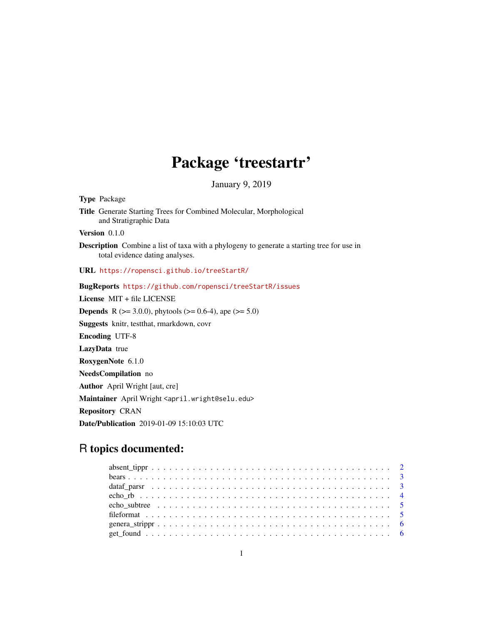# Package 'treestartr'

January 9, 2019

Type Package Title Generate Starting Trees for Combined Molecular, Morphological and Stratigraphic Data Version 0.1.0 Description Combine a list of taxa with a phylogeny to generate a starting tree for use in total evidence dating analyses. URL <https://ropensci.github.io/treeStartR/> BugReports <https://github.com/ropensci/treeStartR/issues> License MIT + file LICENSE **Depends** R ( $>= 3.0.0$ ), phytools ( $>= 0.6-4$ ), ape ( $>= 5.0$ ) Suggests knitr, testthat, rmarkdown, covr Encoding UTF-8 LazyData true RoxygenNote 6.1.0 NeedsCompilation no Author April Wright [aut, cre] Maintainer April Wright <april.wright@selu.edu> Repository CRAN Date/Publication 2019-01-09 15:10:03 UTC

# R topics documented: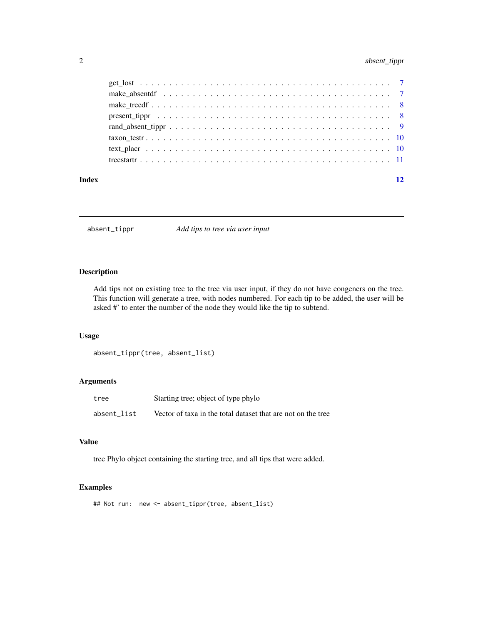## <span id="page-1-0"></span>2 absent\_tippr

| Index | 12 |
|-------|----|
|       |    |
|       |    |
|       |    |
|       |    |
|       |    |
|       |    |
|       |    |
|       |    |

absent\_tippr *Add tips to tree via user input*

#### Description

Add tips not on existing tree to the tree via user input, if they do not have congeners on the tree. This function will generate a tree, with nodes numbered. For each tip to be added, the user will be asked #' to enter the number of the node they would like the tip to subtend.

#### Usage

```
absent_tippr(tree, absent_list)
```
#### Arguments

| tree        | Starting tree; object of type phylo                          |
|-------------|--------------------------------------------------------------|
| absent list | Vector of taxa in the total dataset that are not on the tree |

## Value

tree Phylo object containing the starting tree, and all tips that were added.

#### Examples

## Not run: new <- absent\_tippr(tree, absent\_list)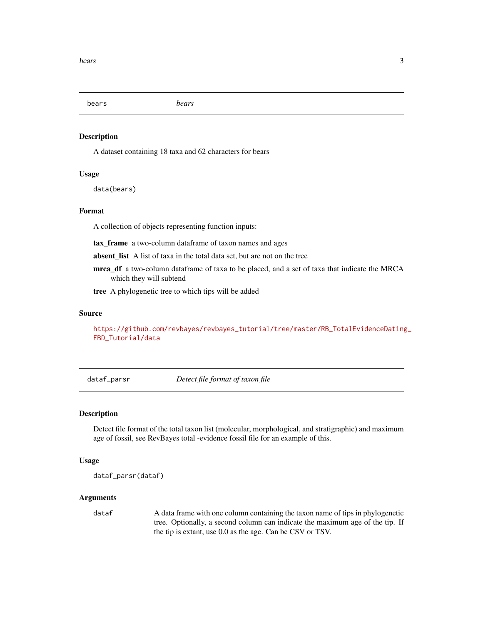<span id="page-2-0"></span>bears *bears*

#### Description

A dataset containing 18 taxa and 62 characters for bears

#### Usage

data(bears)

#### Format

A collection of objects representing function inputs:

tax\_frame a two-column dataframe of taxon names and ages

absent\_list A list of taxa in the total data set, but are not on the tree

mrca\_df a two-column dataframe of taxa to be placed, and a set of taxa that indicate the MRCA which they will subtend

tree A phylogenetic tree to which tips will be added

#### Source

[https://github.com/revbayes/revbayes\\_tutorial/tree/master/RB\\_TotalEvidenceDating](https://github.com/revbayes/revbayes_tutorial/tree/master/RB_TotalEvidenceDating_FBD_Tutorial/data)\_ [FBD\\_Tutorial/data](https://github.com/revbayes/revbayes_tutorial/tree/master/RB_TotalEvidenceDating_FBD_Tutorial/data)

dataf\_parsr *Detect file format of taxon file*

#### Description

Detect file format of the total taxon list (molecular, morphological, and stratigraphic) and maximum age of fossil, see RevBayes total -evidence fossil file for an example of this.

#### Usage

```
dataf_parsr(dataf)
```
#### Arguments

data f A data frame with one column containing the taxon name of tips in phylogenetic tree. Optionally, a second column can indicate the maximum age of the tip. If the tip is extant, use 0.0 as the age. Can be CSV or TSV.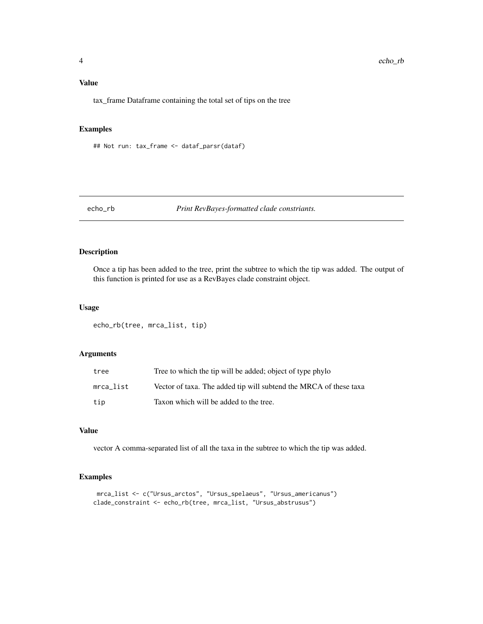#### <span id="page-3-0"></span>Value

tax\_frame Dataframe containing the total set of tips on the tree

#### Examples

## Not run: tax\_frame <- dataf\_parsr(dataf)

#### echo\_rb *Print RevBayes-formatted clade constriants.*

#### Description

Once a tip has been added to the tree, print the subtree to which the tip was added. The output of this function is printed for use as a RevBayes clade constraint object.

#### Usage

echo\_rb(tree, mrca\_list, tip)

#### Arguments

| tree      | Tree to which the tip will be added; object of type phylo         |
|-----------|-------------------------------------------------------------------|
| mrca list | Vector of taxa. The added tip will subtend the MRCA of these taxa |
| tip       | Taxon which will be added to the tree.                            |

#### Value

vector A comma-separated list of all the taxa in the subtree to which the tip was added.

#### Examples

```
mrca_list <- c("Ursus_arctos", "Ursus_spelaeus", "Ursus_americanus")
clade_constraint <- echo_rb(tree, mrca_list, "Ursus_abstrusus")
```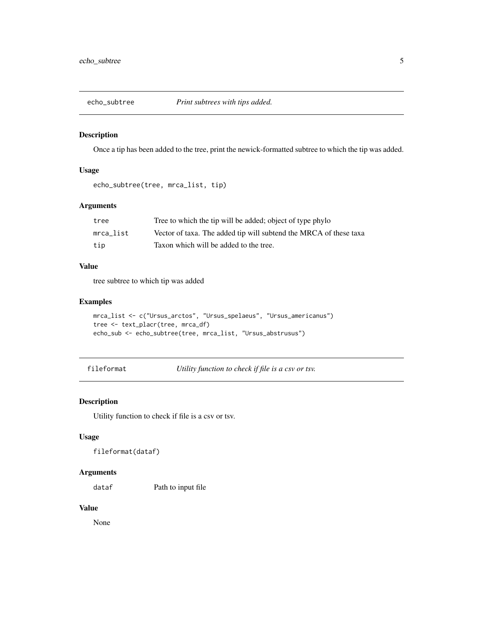<span id="page-4-0"></span>

#### Description

Once a tip has been added to the tree, print the newick-formatted subtree to which the tip was added.

#### Usage

```
echo_subtree(tree, mrca_list, tip)
```
#### Arguments

| tree      | Tree to which the tip will be added; object of type phylo         |
|-----------|-------------------------------------------------------------------|
| mrca list | Vector of taxa. The added tip will subtend the MRCA of these taxa |
| tip       | Taxon which will be added to the tree.                            |

#### Value

tree subtree to which tip was added

#### Examples

```
mrca_list <- c("Ursus_arctos", "Ursus_spelaeus", "Ursus_americanus")
tree <- text_placr(tree, mrca_df)
echo_sub <- echo_subtree(tree, mrca_list, "Ursus_abstrusus")
```
fileformat *Utility function to check if file is a csv or tsv.*

#### Description

Utility function to check if file is a csv or tsv.

#### Usage

fileformat(dataf)

## Arguments

dataf Path to input file

#### Value

None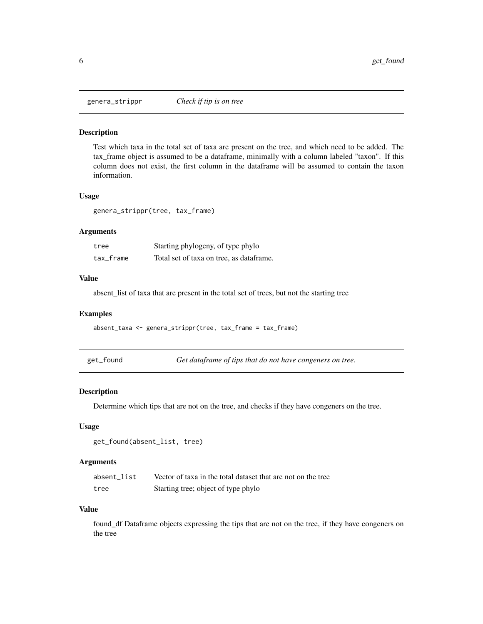<span id="page-5-0"></span>

#### Description

Test which taxa in the total set of taxa are present on the tree, and which need to be added. The tax\_frame object is assumed to be a dataframe, minimally with a column labeled "taxon". If this column does not exist, the first column in the dataframe will be assumed to contain the taxon information.

#### Usage

genera\_strippr(tree, tax\_frame)

#### Arguments

| tree      | Starting phylogeny, of type phylo        |
|-----------|------------------------------------------|
| tax frame | Total set of taxa on tree, as dataframe. |

#### Value

absent\_list of taxa that are present in the total set of trees, but not the starting tree

#### Examples

absent\_taxa <- genera\_strippr(tree, tax\_frame = tax\_frame)

get\_found *Get dataframe of tips that do not have congeners on tree.*

#### Description

Determine which tips that are not on the tree, and checks if they have congeners on the tree.

#### Usage

```
get_found(absent_list, tree)
```
#### **Arguments**

| absent list | Vector of taxa in the total dataset that are not on the tree |
|-------------|--------------------------------------------------------------|
| tree        | Starting tree; object of type phylo                          |

#### Value

found\_df Dataframe objects expressing the tips that are not on the tree, if they have congeners on the tree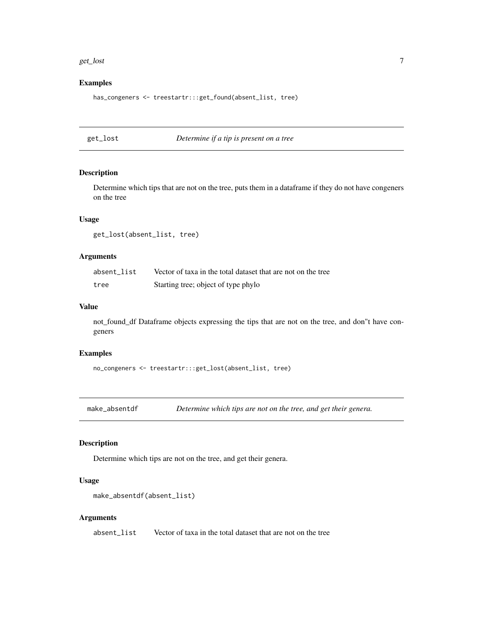#### <span id="page-6-0"></span>get\_lost 7

#### Examples

has\_congeners <- treestartr:::get\_found(absent\_list, tree)

get\_lost *Determine if a tip is present on a tree*

#### Description

Determine which tips that are not on the tree, puts them in a dataframe if they do not have congeners on the tree

#### Usage

get\_lost(absent\_list, tree)

#### Arguments

| absent list | Vector of taxa in the total dataset that are not on the tree |
|-------------|--------------------------------------------------------------|
| tree        | Starting tree; object of type phylo                          |

#### Value

not\_found\_df Dataframe objects expressing the tips that are not on the tree, and don"t have congeners

#### Examples

no\_congeners <- treestartr:::get\_lost(absent\_list, tree)

make\_absentdf *Determine which tips are not on the tree, and get their genera.*

#### Description

Determine which tips are not on the tree, and get their genera.

#### Usage

```
make_absentdf(absent_list)
```
#### Arguments

absent\_list Vector of taxa in the total dataset that are not on the tree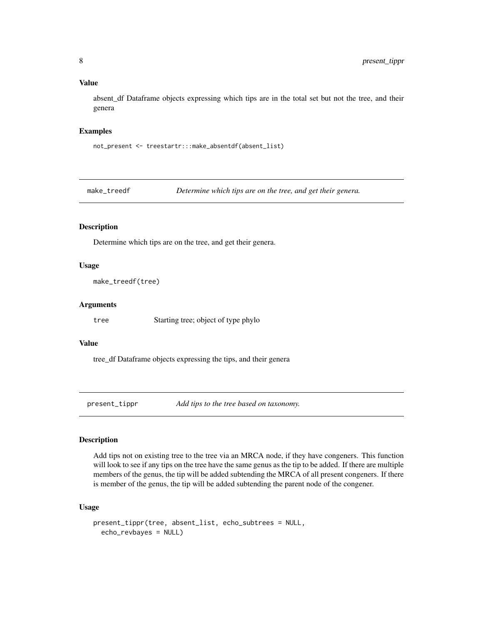#### <span id="page-7-0"></span>Value

absent\_df Dataframe objects expressing which tips are in the total set but not the tree, and their genera

#### Examples

not\_present <- treestartr:::make\_absentdf(absent\_list)

make\_treedf *Determine which tips are on the tree, and get their genera.*

#### Description

Determine which tips are on the tree, and get their genera.

#### Usage

```
make_treedf(tree)
```
#### Arguments

tree Starting tree; object of type phylo

#### Value

tree\_df Dataframe objects expressing the tips, and their genera

present\_tippr *Add tips to the tree based on taxonomy.*

#### Description

Add tips not on existing tree to the tree via an MRCA node, if they have congeners. This function will look to see if any tips on the tree have the same genus as the tip to be added. If there are multiple members of the genus, the tip will be added subtending the MRCA of all present congeners. If there is member of the genus, the tip will be added subtending the parent node of the congener.

#### Usage

```
present_tippr(tree, absent_list, echo_subtrees = NULL,
 echo_revbayes = NULL)
```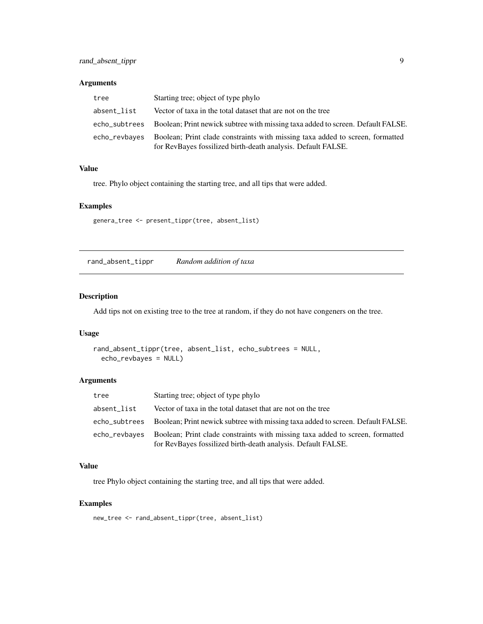#### <span id="page-8-0"></span>Arguments

| tree          | Starting tree; object of type phylo                                                                                                           |
|---------------|-----------------------------------------------------------------------------------------------------------------------------------------------|
| absent_list   | Vector of taxa in the total dataset that are not on the tree                                                                                  |
|               | echo_subtrees Boolean; Print newick subtree with missing taxa added to screen. Default FALSE.                                                 |
| echo_revbayes | Boolean; Print clade constraints with missing taxa added to screen, formatted<br>for RevBayes fossilized birth-death analysis. Default FALSE. |

#### Value

tree. Phylo object containing the starting tree, and all tips that were added.

#### Examples

genera\_tree <- present\_tippr(tree, absent\_list)

rand\_absent\_tippr *Random addition of taxa*

#### Description

Add tips not on existing tree to the tree at random, if they do not have congeners on the tree.

#### Usage

```
rand_absent_tippr(tree, absent_list, echo_subtrees = NULL,
 echo_revbayes = NULL)
```
#### Arguments

| tree          | Starting tree; object of type phylo                                                                                                           |  |
|---------------|-----------------------------------------------------------------------------------------------------------------------------------------------|--|
| absent list   | Vector of taxa in the total dataset that are not on the tree                                                                                  |  |
| echo_subtrees | Boolean; Print newick subtree with missing taxa added to screen. Default FALSE.                                                               |  |
| echo_revbayes | Boolean; Print clade constraints with missing taxa added to screen, formatted<br>for RevBayes fossilized birth-death analysis. Default FALSE. |  |

#### Value

tree Phylo object containing the starting tree, and all tips that were added.

#### Examples

new\_tree <- rand\_absent\_tippr(tree, absent\_list)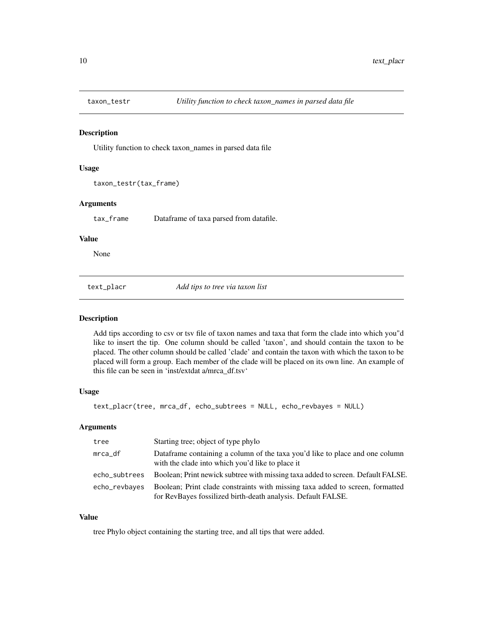<span id="page-9-0"></span>

#### Description

Utility function to check taxon\_names in parsed data file

#### Usage

taxon\_testr(tax\_frame)

#### Arguments

tax\_frame Dataframe of taxa parsed from datafile.

#### Value

None

text\_placr *Add tips to tree via taxon list*

#### Description

Add tips according to csv or tsv file of taxon names and taxa that form the clade into which you"d like to insert the tip. One column should be called 'taxon', and should contain the taxon to be placed. The other column should be called 'clade' and contain the taxon with which the taxon to be placed will form a group. Each member of the clade will be placed on its own line. An example of this file can be seen in 'inst/extdat a/mrca\_df.tsv'

#### Usage

text\_placr(tree, mrca\_df, echo\_subtrees = NULL, echo\_revbayes = NULL)

#### Arguments

| tree          | Starting tree; object of type phylo                                                                                                           |
|---------------|-----------------------------------------------------------------------------------------------------------------------------------------------|
| mrca_df       | Data frame containing a column of the taxa you'd like to place and one column<br>with the clade into which you'd like to place it             |
| echo_subtrees | Boolean; Print newick subtree with missing taxa added to screen. Default FALSE.                                                               |
| echo_revbayes | Boolean; Print clade constraints with missing taxa added to screen, formatted<br>for RevBayes fossilized birth-death analysis. Default FALSE. |

#### Value

tree Phylo object containing the starting tree, and all tips that were added.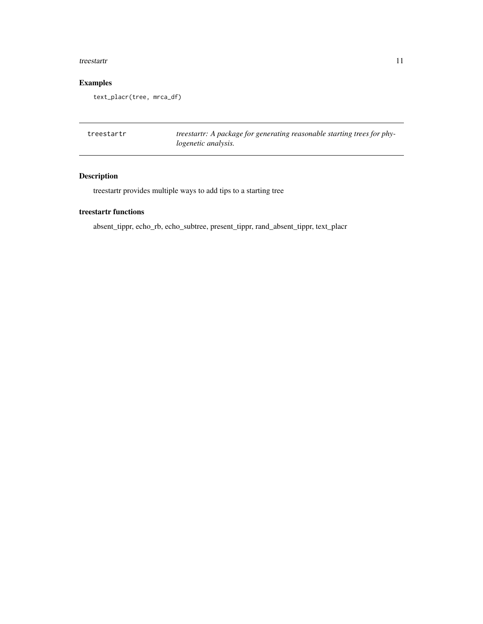#### <span id="page-10-0"></span>treestartr 11

## Examples

text\_placr(tree, mrca\_df)

| treestartr | treestartr: A package for generating reasonable starting trees for phy- |
|------------|-------------------------------------------------------------------------|
|            | logenetic analysis.                                                     |

## Description

treestartr provides multiple ways to add tips to a starting tree

## treestartr functions

absent\_tippr, echo\_rb, echo\_subtree, present\_tippr, rand\_absent\_tippr, text\_placr